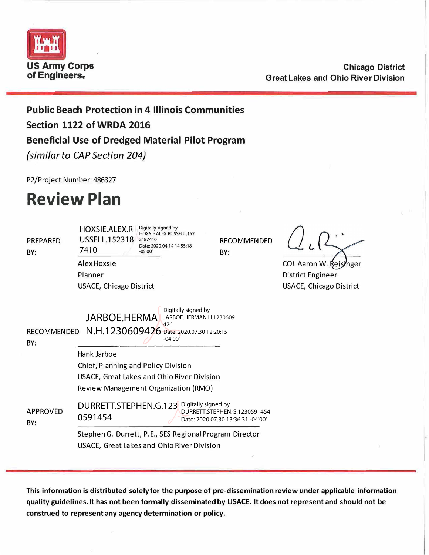

**Chicago District Great Lakes and Ohio River Division** 

**Public Beach Protection in 4 Illinois Communities Section 1122 of WRDA 2016 Beneficial Use of Dredged Material Pilot Program** 

*{similar to CAP Section 204}* 

P2/Project Number: 486327

# **Review Plan**

| <b>PREPARED</b><br>BY:    | Digitally signed by<br>HOXSIE.ALEX.R<br>HOXSIE.ALEX.RUSSELL.152<br>USSELL, 152318<br>3187410<br>Date: 2020.04.14 14:55:18<br>7410<br>$-05'00'$ | <b>RECOMMENDED</b><br>BY:                                         |                                |
|---------------------------|------------------------------------------------------------------------------------------------------------------------------------------------|-------------------------------------------------------------------|--------------------------------|
|                           | Alex Hoxsie                                                                                                                                    |                                                                   | COL Aaron W. Reisinger         |
|                           | Planner                                                                                                                                        |                                                                   | District Engineer              |
|                           | <b>USACE, Chicago District</b>                                                                                                                 |                                                                   | <b>USACE, Chicago District</b> |
| <b>RECOMMENDED</b><br>BY: | Digitally signed by<br><b>JARBOE.HERMA</b><br>JARBOE.HERMAN.H.1230609<br>426<br>N.H.1230609426 Date: 2020.07.30 12:20:15<br>$-04'00'$          |                                                                   |                                |
|                           | Hank Jarboe                                                                                                                                    |                                                                   |                                |
|                           | Chief, Planning and Policy Division                                                                                                            |                                                                   |                                |
|                           | <b>USACE, Great Lakes and Ohio River Division</b>                                                                                              |                                                                   |                                |
|                           | <b>Review Management Organization (RMO)</b>                                                                                                    |                                                                   |                                |
| <b>APPROVED</b><br>BY:    | DURRETT.STEPHEN.G.123 Digitally signed by<br>0591454                                                                                           | DURRETT.STEPHEN.G.1230591454<br>Date: 2020.07.30 13:36:31 -04'00' |                                |
|                           | Stephen G. Durrett, P.E., SES Regional Program Director<br>USACE, Great Lakes and Ohio River Division                                          |                                                                   |                                |

**This information is distributeq solely for the purpose of pre-dissemination review under applicable information quality guidelines. It has not been formally disseminated by USACE. It does not represent and should not be construed to represent any agency determination or policy.**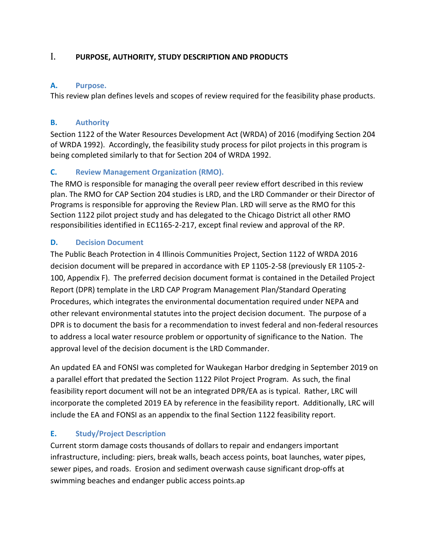## I. **PURPOSE, AUTHORITY, STUDY DESCRIPTION AND PRODUCTS**

#### **A. Purpose.**

This review plan defines levels and scopes of review required for the feasibility phase products.

#### **B. Authority**

Section 1122 of the Water Resources Development Act (WRDA) of 2016 (modifying Section 204 of WRDA 1992). Accordingly, the feasibility study process for pilot projects in this program is being completed similarly to that for Section 204 of WRDA 1992.

## **C. Review Management Organization (RMO).**

The RMO is responsible for managing the overall peer review effort described in this review plan. The RMO for CAP Section 204 studies is LRD, and the LRD Commander or their Director of Programs is responsible for approving the Review Plan. LRD will serve as the RMO for this Section 1122 pilot project study and has delegated to the Chicago District all other RMO responsibilities identified in EC1165-2-217, except final review and approval of the RP.

#### **D. Decision Document**

The Public Beach Protection in 4 Illinois Communities Project, Section 1122 of WRDA 2016 decision document will be prepared in accordance with EP 1105-2-58 (previously ER 1105-2- 100, Appendix F). The preferred decision document format is contained in the Detailed Project Report (DPR) template in the LRD CAP Program Management Plan/Standard Operating Procedures, which integrates the environmental documentation required under NEPA and other relevant environmental statutes into the project decision document. The purpose of a DPR is to document the basis for a recommendation to invest federal and non-federal resources to address a local water resource problem or opportunity of significance to the Nation. The approval level of the decision document is the LRD Commander.

An updated EA and FONSI was completed for Waukegan Harbor dredging in September 2019 on a parallel effort that predated the Section 1122 Pilot Project Program. As such, the final feasibility report document will not be an integrated DPR/EA as is typical. Rather, LRC will incorporate the completed 2019 EA by reference in the feasibility report. Additionally, LRC will include the EA and FONSI as an appendix to the final Section 1122 feasibility report.

## **E. Study/Project Description**

Current storm damage costs thousands of dollars to repair and endangers important infrastructure, including: piers, break walls, beach access points, boat launches, water pipes, sewer pipes, and roads. Erosion and sediment overwash cause significant drop-offs at swimming beaches and endanger public access points.ap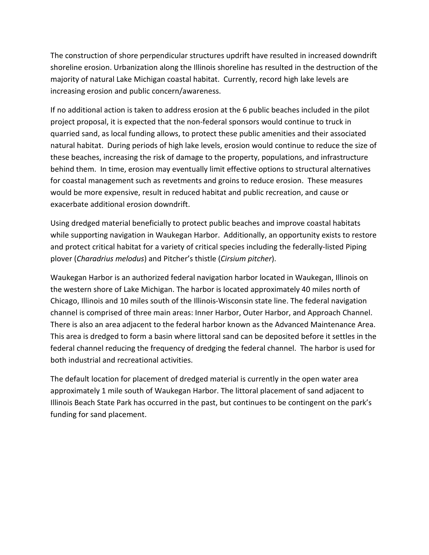The construction of shore perpendicular structures updrift have resulted in increased downdrift shoreline erosion. Urbanization along the Illinois shoreline has resulted in the destruction of the majority of natural Lake Michigan coastal habitat. Currently, record high lake levels are increasing erosion and public concern/awareness.

If no additional action is taken to address erosion at the 6 public beaches included in the pilot project proposal, it is expected that the non-federal sponsors would continue to truck in quarried sand, as local funding allows, to protect these public amenities and their associated natural habitat. During periods of high lake levels, erosion would continue to reduce the size of these beaches, increasing the risk of damage to the property, populations, and infrastructure behind them. In time, erosion may eventually limit effective options to structural alternatives for coastal management such as revetments and groins to reduce erosion. These measures would be more expensive, result in reduced habitat and public recreation, and cause or exacerbate additional erosion downdrift.

Using dredged material beneficially to protect public beaches and improve coastal habitats while supporting navigation in Waukegan Harbor. Additionally, an opportunity exists to restore and protect critical habitat for a variety of critical species including the federally-listed Piping plover (*Charadrius melodus*) and Pitcher's thistle (*Cirsium pitcher*).

Waukegan Harbor is an authorized federal navigation harbor located in Waukegan, Illinois on the western shore of Lake Michigan. The harbor is located approximately 40 miles north of Chicago, Illinois and 10 miles south of the Illinois-Wisconsin state line. The federal navigation channel is comprised of three main areas: Inner Harbor, Outer Harbor, and Approach Channel. There is also an area adjacent to the federal harbor known as the Advanced Maintenance Area. This area is dredged to form a basin where littoral sand can be deposited before it settles in the federal channel reducing the frequency of dredging the federal channel. The harbor is used for both industrial and recreational activities.

The default location for placement of dredged material is currently in the open water area approximately 1 mile south of Waukegan Harbor. The littoral placement of sand adjacent to Illinois Beach State Park has occurred in the past, but continues to be contingent on the park's funding for sand placement.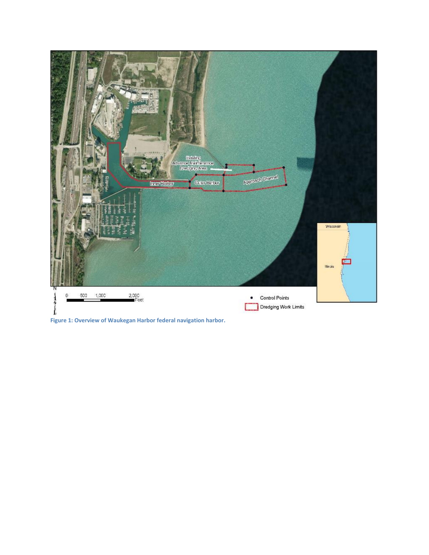

**Figure 1: Overview of Waukegan Harbor federal navigation harbor.**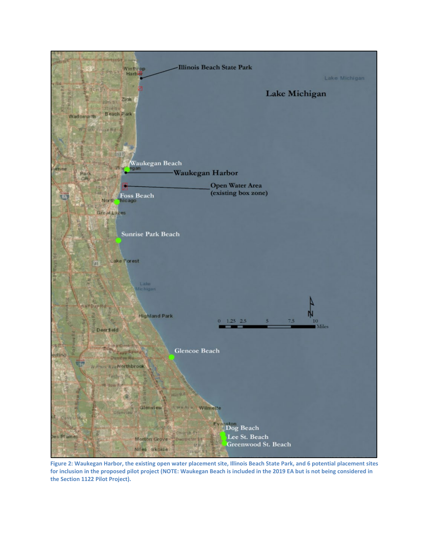

**Figure 2: Waukegan Harbor, the existing open water placement site, Illinois Beach State Park, and 6 potential placement sites for inclusion in the proposed pilot project (NOTE: Waukegan Beach is included in the 2019 EA but is not being considered in the Section 1122 Pilot Project).**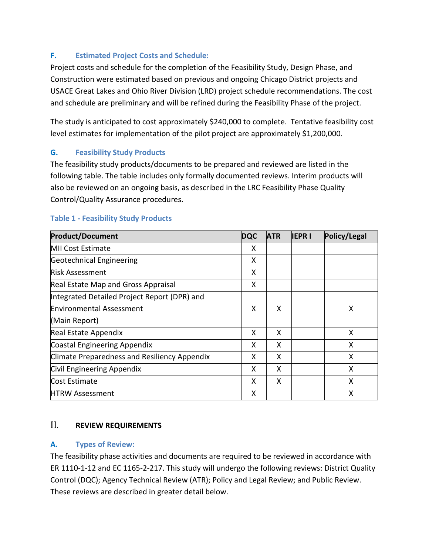## **F. Estimated Project Costs and Schedule:**

Project costs and schedule for the completion of the Feasibility Study, Design Phase, and Construction were estimated based on previous and ongoing Chicago District projects and USACE Great Lakes and Ohio River Division (LRD) project schedule recommendations. The cost and schedule are preliminary and will be refined during the Feasibility Phase of the project.

The study is anticipated to cost approximately \$240,000 to complete. Tentative feasibility cost level estimates for implementation of the pilot project are approximately \$1,200,000.

## **G. Feasibility Study Products**

The feasibility study products/documents to be prepared and reviewed are listed in the following table. The table includes only formally documented reviews. Interim products will also be reviewed on an ongoing basis, as described in the LRC Feasibility Phase Quality Control/Quality Assurance procedures.

| <b>Product/Document</b>                      | <b>DQC</b> | <b>ATR</b> | <b>IEPRI</b> | Policy/Legal |
|----------------------------------------------|------------|------------|--------------|--------------|
| <b>MII Cost Estimate</b>                     | X          |            |              |              |
| Geotechnical Engineering                     | X          |            |              |              |
| <b>Risk Assessment</b>                       | X          |            |              |              |
| Real Estate Map and Gross Appraisal          | X          |            |              |              |
| Integrated Detailed Project Report (DPR) and |            |            |              |              |
| <b>Environmental Assessment</b>              | X          | X          |              | Χ            |
| (Main Report)                                |            |            |              |              |
| Real Estate Appendix                         | X          | X          |              | X            |
| Coastal Engineering Appendix                 | X          | X          |              | X            |
| Climate Preparedness and Resiliency Appendix | x          | X          |              | X            |
| Civil Engineering Appendix                   | x          | X          |              | X            |
| Cost Estimate                                | X          | X          |              | X            |
| <b>HTRW Assessment</b>                       | x          |            |              | x            |

## **Table 1 - Feasibility Study Products**

## II. **REVIEW REQUIREMENTS**

## **A. Types of Review:**

The feasibility phase activities and documents are required to be reviewed in accordance with ER 1110-1-12 and EC 1165-2-217. This study will undergo the following reviews: District Quality Control (DQC); Agency Technical Review (ATR); Policy and Legal Review; and Public Review. These reviews are described in greater detail below.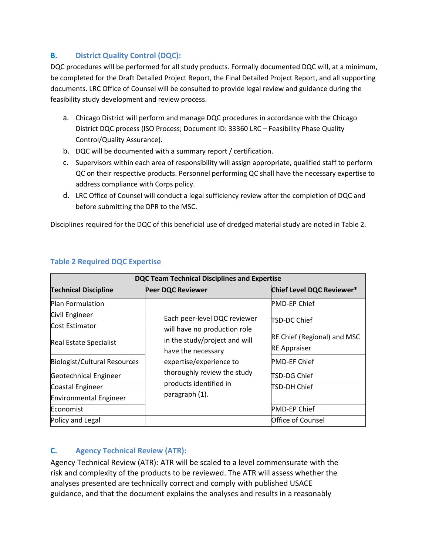## **B. District Quality Control (DQC):**

DQC procedures will be performed for all study products. Formally documented DQC will, at a minimum, be completed for the Draft Detailed Project Report, the Final Detailed Project Report, and all supporting documents. LRC Office of Counsel will be consulted to provide legal review and guidance during the feasibility study development and review process.

- a. Chicago District will perform and manage DQC procedures in accordance with the Chicago District DQC process (ISO Process; Document ID: 33360 LRC – Feasibility Phase Quality Control/Quality Assurance).
- b. DQC will be documented with a summary report / certification.
- c. Supervisors within each area of responsibility will assign appropriate, qualified staff to perform QC on their respective products. Personnel performing QC shall have the necessary expertise to address compliance with Corps policy.
- d. LRC Office of Counsel will conduct a legal sufficiency review after the completion of DQC and before submitting the DPR to the MSC.

Disciplines required for the DQC of this beneficial use of dredged material study are noted in Table 2.

| <b>DQC Team Technical Disciplines and Expertise</b> |                                                                                |                             |  |  |
|-----------------------------------------------------|--------------------------------------------------------------------------------|-----------------------------|--|--|
| <b>Technical Discipline</b>                         | <b>Peer DQC Reviewer</b>                                                       | Chief Level DQC Reviewer*   |  |  |
| <b>Plan Formulation</b>                             |                                                                                | <b>PMD-EP Chief</b>         |  |  |
| Civil Engineer                                      | Each peer-level DQC reviewer                                                   | ITSD-DC Chief               |  |  |
| Cost Estimator                                      | will have no production role                                                   |                             |  |  |
| <b>Real Estate Specialist</b>                       | in the study/project and will<br>have the necessary<br>expertise/experience to | RE Chief (Regional) and MSC |  |  |
|                                                     |                                                                                | <b>RE Appraiser</b>         |  |  |
| Biologist/Cultural Resources                        |                                                                                | <b>PMD-EF Chief</b>         |  |  |
| Geotechnical Engineer                               | thoroughly review the study                                                    | TSD-DG Chief                |  |  |
| Coastal Engineer                                    | products identified in                                                         | TSD-DH Chief                |  |  |
| <b>Environmental Engineer</b>                       | paragraph (1).                                                                 |                             |  |  |
| Economist                                           |                                                                                | <b>PMD-EP Chief</b>         |  |  |
| Policy and Legal                                    |                                                                                | Office of Counsel           |  |  |

## **Table 2 Required DQC Expertise**

## **C. Agency Technical Review (ATR):**

Agency Technical Review (ATR): ATR will be scaled to a level commensurate with the risk and complexity of the products to be reviewed. The ATR will assess whether the analyses presented are technically correct and comply with published USACE guidance, and that the document explains the analyses and results in a reasonably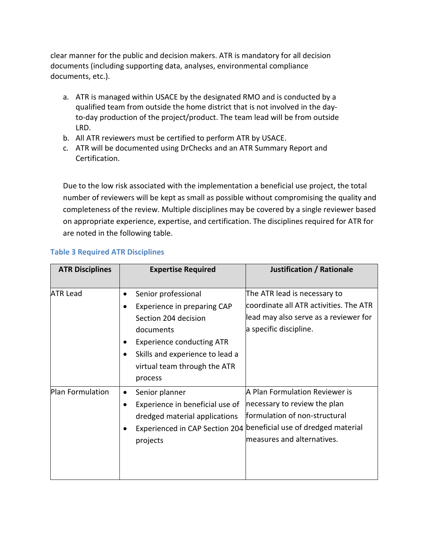clear manner for the public and decision makers. ATR is mandatory for all decision documents (including supporting data, analyses, environmental compliance documents, etc.).

- a. ATR is managed within USACE by the designated RMO and is conducted by a qualified team from outside the home district that is not involved in the dayto-day production of the project/product. The team lead will be from outside LRD.
- b. All ATR reviewers must be certified to perform ATR by USACE.
- c. ATR will be documented using DrChecks and an ATR Summary Report and Certification.

Due to the low risk associated with the implementation a beneficial use project, the total number of reviewers will be kept as small as possible without compromising the quality and completeness of the review. Multiple disciplines may be covered by a single reviewer based on appropriate experience, expertise, and certification. The disciplines required for ATR for are noted in the following table.

| <b>ATR Disciplines</b> | <b>Expertise Required</b>                                                                                                                                                                           | Justification / Rationale                                                                                                                                           |  |
|------------------------|-----------------------------------------------------------------------------------------------------------------------------------------------------------------------------------------------------|---------------------------------------------------------------------------------------------------------------------------------------------------------------------|--|
|                        |                                                                                                                                                                                                     |                                                                                                                                                                     |  |
| <b>ATR Lead</b>        | Senior professional<br>٠<br>Experience in preparing CAP<br>Section 204 decision<br>documents<br><b>Experience conducting ATR</b><br>Skills and experience to lead a<br>virtual team through the ATR | The ATR lead is necessary to<br>coordinate all ATR activities. The ATR<br>lead may also serve as a reviewer for<br>a specific discipline.                           |  |
| Plan Formulation       | process<br>Senior planner<br>Experience in beneficial use of<br>dredged material applications<br>Experienced in CAP Section 204<br>projects                                                         | A Plan Formulation Reviewer is<br>necessary to review the plan<br>formulation of non-structural<br>beneficial use of dredged material<br>measures and alternatives. |  |

## **Table 3 Required ATR Disciplines**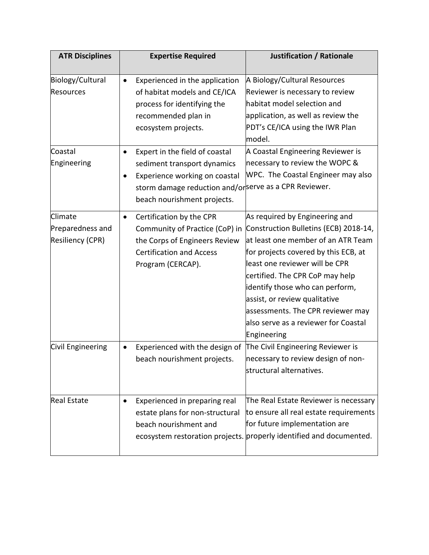| <b>ATR Disciplines</b>                                 | <b>Expertise Required</b>                                                                                                                                                                           | <b>Justification / Rationale</b>                                                                                                                                                                                                                                                                                                                                                           |
|--------------------------------------------------------|-----------------------------------------------------------------------------------------------------------------------------------------------------------------------------------------------------|--------------------------------------------------------------------------------------------------------------------------------------------------------------------------------------------------------------------------------------------------------------------------------------------------------------------------------------------------------------------------------------------|
| Biology/Cultural<br><b>Resources</b>                   | Experienced in the application<br>$\bullet$<br>of habitat models and CE/ICA<br>process for identifying the<br>recommended plan in<br>ecosystem projects.                                            | A Biology/Cultural Resources<br>Reviewer is necessary to review<br>habitat model selection and<br>application, as well as review the<br>PDT's CE/ICA using the IWR Plan<br>model.                                                                                                                                                                                                          |
| Coastal<br>Engineering                                 | Expert in the field of coastal<br>$\bullet$<br>sediment transport dynamics<br>Experience working on coastal<br>storm damage reduction and/orserve as a CPR Reviewer.<br>beach nourishment projects. | A Coastal Engineering Reviewer is<br>necessary to review the WOPC &<br>WPC. The Coastal Engineer may also                                                                                                                                                                                                                                                                                  |
| Climate<br>Preparedness and<br><b>Resiliency (CPR)</b> | Certification by the CPR<br>٠<br>Community of Practice (CoP) in<br>the Corps of Engineers Review<br><b>Certification and Access</b><br>Program (CERCAP).                                            | As required by Engineering and<br>Construction Bulletins (ECB) 2018-14,<br>at least one member of an ATR Team<br>for projects covered by this ECB, at<br>least one reviewer will be CPR<br>certified. The CPR CoP may help<br>identify those who can perform,<br>assist, or review qualitative<br>assessments. The CPR reviewer may<br>also serve as a reviewer for Coastal<br>Engineering |
| Civil Engineering                                      | Experienced with the design of<br>beach nourishment projects.                                                                                                                                       | The Civil Engineering Reviewer is<br>necessary to review design of non-<br>structural alternatives.                                                                                                                                                                                                                                                                                        |
| <b>Real Estate</b>                                     | Experienced in preparing real<br>٠<br>estate plans for non-structural<br>beach nourishment and                                                                                                      | The Real Estate Reviewer is necessary<br>to ensure all real estate requirements<br>for future implementation are<br>ecosystem restoration projects. properly identified and documented.                                                                                                                                                                                                    |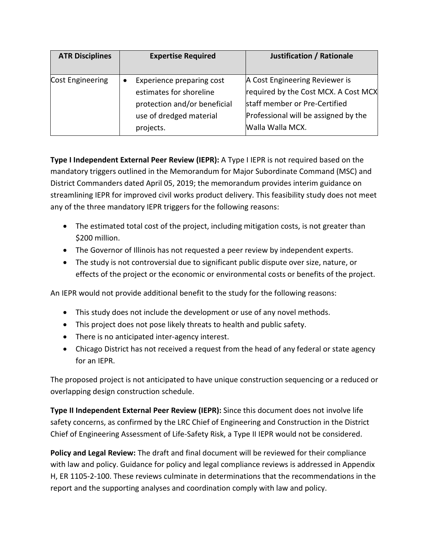| <b>ATR Disciplines</b> | <b>Expertise Required</b>                                                                                                    | Justification / Rationale                                                                                                                                           |
|------------------------|------------------------------------------------------------------------------------------------------------------------------|---------------------------------------------------------------------------------------------------------------------------------------------------------------------|
| Cost Engineering       | Experience preparing cost<br>estimates for shoreline<br>protection and/or beneficial<br>use of dredged material<br>projects. | A Cost Engineering Reviewer is<br>required by the Cost MCX. A Cost MCX<br>staff member or Pre-Certified<br>Professional will be assigned by the<br>Walla Walla MCX. |

**Type I Independent External Peer Review (IEPR):** A Type I IEPR is not required based on the mandatory triggers outlined in the Memorandum for Major Subordinate Command (MSC) and District Commanders dated April 05, 2019; the memorandum provides interim guidance on streamlining IEPR for improved civil works product delivery. This feasibility study does not meet any of the three mandatory IEPR triggers for the following reasons:

- The estimated total cost of the project, including mitigation costs, is not greater than \$200 million.
- The Governor of Illinois has not requested a peer review by independent experts.
- The study is not controversial due to significant public dispute over size, nature, or effects of the project or the economic or environmental costs or benefits of the project.

An IEPR would not provide additional benefit to the study for the following reasons:

- This study does not include the development or use of any novel methods.
- This project does not pose likely threats to health and public safety.
- There is no anticipated inter-agency interest.
- Chicago District has not received a request from the head of any federal or state agency for an IEPR.

The proposed project is not anticipated to have unique construction sequencing or a reduced or overlapping design construction schedule.

**Type II Independent External Peer Review (IEPR):** Since this document does not involve life safety concerns, as confirmed by the LRC Chief of Engineering and Construction in the District Chief of Engineering Assessment of Life-Safety Risk, a Type II IEPR would not be considered.

**Policy and Legal Review:** The draft and final document will be reviewed for their compliance with law and policy. Guidance for policy and legal compliance reviews is addressed in Appendix H, ER 1105-2-100. These reviews culminate in determinations that the recommendations in the report and the supporting analyses and coordination comply with law and policy.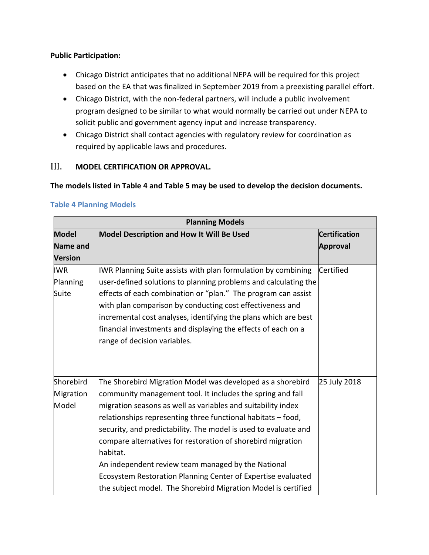#### **Public Participation:**

- Chicago District anticipates that no additional NEPA will be required for this project based on the EA that was finalized in September 2019 from a preexisting parallel effort.
- Chicago District, with the non-federal partners, will include a public involvement program designed to be similar to what would normally be carried out under NEPA to solicit public and government agency input and increase transparency.
- Chicago District shall contact agencies with regulatory review for coordination as required by applicable laws and procedures.

## III. **MODEL CERTIFICATION OR APPROVAL.**

#### **The models listed in Table 4 and Table 5 may be used to develop the decision documents.**

| <b>Planning Models</b>                            |                                                                                                                                                                                                                                                                                                                                                                                                                                                                                                                                                                                               |                                         |  |  |  |
|---------------------------------------------------|-----------------------------------------------------------------------------------------------------------------------------------------------------------------------------------------------------------------------------------------------------------------------------------------------------------------------------------------------------------------------------------------------------------------------------------------------------------------------------------------------------------------------------------------------------------------------------------------------|-----------------------------------------|--|--|--|
| <b>Model</b><br><b>Name and</b><br><b>Version</b> | Model Description and How It Will Be Used                                                                                                                                                                                                                                                                                                                                                                                                                                                                                                                                                     | <b>Certification</b><br><b>Approval</b> |  |  |  |
| <b>IWR</b><br>Planning<br>Suite                   | IWR Planning Suite assists with plan formulation by combining<br>user-defined solutions to planning problems and calculating the<br>effects of each combination or "plan." The program can assist<br>with plan comparison by conducting cost effectiveness and<br>incremental cost analyses, identifying the plans which are best<br>financial investments and displaying the effects of each on a<br>range of decision variables.                                                                                                                                                            | Certified                               |  |  |  |
| Shorebird<br>Migration<br>Model                   | The Shorebird Migration Model was developed as a shorebird<br>community management tool. It includes the spring and fall<br>migration seasons as well as variables and suitability index<br>relationships representing three functional habitats - food,<br>security, and predictability. The model is used to evaluate and<br>compare alternatives for restoration of shorebird migration<br>habitat.<br>An independent review team managed by the National<br>Ecosystem Restoration Planning Center of Expertise evaluated<br>the subject model. The Shorebird Migration Model is certified | 25 July 2018                            |  |  |  |

#### **Table 4 Planning Models**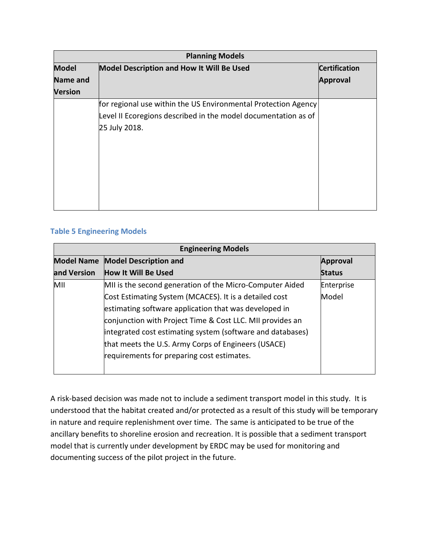| <b>Planning Models</b> |                                                                |                      |  |
|------------------------|----------------------------------------------------------------|----------------------|--|
| <b>Model</b>           | <b>Model Description and How It Will Be Used</b>               | <b>Certification</b> |  |
| <b>Name and</b>        |                                                                | <b>Approval</b>      |  |
| Version                |                                                                |                      |  |
|                        | for regional use within the US Environmental Protection Agency |                      |  |
|                        | Level II Ecoregions described in the model documentation as of |                      |  |
|                        | 25 July 2018.                                                  |                      |  |
|                        |                                                                |                      |  |
|                        |                                                                |                      |  |
|                        |                                                                |                      |  |
|                        |                                                                |                      |  |
|                        |                                                                |                      |  |
|                        |                                                                |                      |  |
|                        |                                                                |                      |  |

## **Table 5 Engineering Models**

| <b>Engineering Models</b> |                                                            |                 |  |
|---------------------------|------------------------------------------------------------|-----------------|--|
| <b>Model Name</b>         | <b>Model Description and</b>                               | <b>Approval</b> |  |
| and Version               | <b>How It Will Be Used</b>                                 | <b>Status</b>   |  |
| MII                       | MII is the second generation of the Micro-Computer Aided   | Enterprise      |  |
|                           | Cost Estimating System (MCACES). It is a detailed cost     | Model           |  |
|                           | estimating software application that was developed in      |                 |  |
|                           | conjunction with Project Time & Cost LLC. MII provides an  |                 |  |
|                           | integrated cost estimating system (software and databases) |                 |  |
|                           | that meets the U.S. Army Corps of Engineers (USACE)        |                 |  |
|                           | requirements for preparing cost estimates.                 |                 |  |
|                           |                                                            |                 |  |

A risk-based decision was made not to include a sediment transport model in this study. It is understood that the habitat created and/or protected as a result of this study will be temporary in nature and require replenishment over time. The same is anticipated to be true of the ancillary benefits to shoreline erosion and recreation. It is possible that a sediment transport model that is currently under development by ERDC may be used for monitoring and documenting success of the pilot project in the future.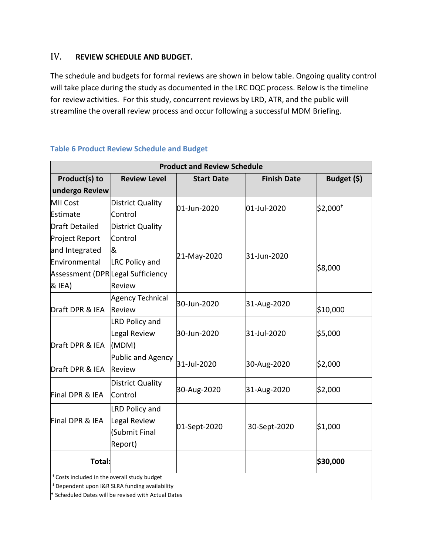## IV. **REVIEW SCHEDULE AND BUDGET.**

The schedule and budgets for formal reviews are shown in below table. Ongoing quality control will take place during the study as documented in the LRC DQC process. Below is the timeline for review activities. For this study, concurrent reviews by LRD, ATR, and the public will streamline the overall review process and occur following a successful MDM Briefing.

| <b>Product and Review Schedule</b>           |                                                                                                                  |                   |                    |             |  |
|----------------------------------------------|------------------------------------------------------------------------------------------------------------------|-------------------|--------------------|-------------|--|
| Product(s) to                                | <b>Review Level</b>                                                                                              | <b>Start Date</b> | <b>Finish Date</b> | Budget (\$) |  |
| undergo Review                               |                                                                                                                  |                   |                    |             |  |
| <b>MII Cost</b>                              | District Quality                                                                                                 | 01-Jun-2020       | 01-Jul-2020        | $$2,000^+$  |  |
| Estimate                                     | Control                                                                                                          |                   |                    |             |  |
| Draft Detailed                               | District Quality                                                                                                 |                   |                    |             |  |
| Project Report                               | Control                                                                                                          |                   |                    |             |  |
| and Integrated                               | &                                                                                                                |                   |                    |             |  |
| Environmental                                | <b>LRC Policy and</b>                                                                                            | 21-May-2020       | 31-Jun-2020        |             |  |
| Assessment (DPR Legal Sufficiency            |                                                                                                                  |                   |                    | \$8,000     |  |
| & IEA)                                       | <b>Review</b>                                                                                                    |                   |                    |             |  |
|                                              | <b>Agency Technical</b>                                                                                          |                   |                    |             |  |
| Draft DPR & IEA                              | Review                                                                                                           | 30-Jun-2020       | 31-Aug-2020        | \$10,000    |  |
|                                              | <b>LRD Policy and</b>                                                                                            |                   |                    |             |  |
|                                              | Legal Review                                                                                                     | 30-Jun-2020       | 31-Jul-2020        | \$5,000     |  |
| Draft DPR & IEA                              | (MDM)                                                                                                            |                   |                    |             |  |
|                                              | Public and Agency                                                                                                |                   |                    |             |  |
| Draft DPR & IEA                              | Review                                                                                                           | 31-Jul-2020       | 30-Aug-2020        | \$2,000     |  |
|                                              | District Quality                                                                                                 |                   |                    |             |  |
| Final DPR & IEA                              | Control                                                                                                          | 30-Aug-2020       | 31-Aug-2020        | \$2,000     |  |
|                                              | <b>LRD Policy and</b>                                                                                            |                   |                    |             |  |
| Final DPR & IEA                              | Legal Review                                                                                                     |                   |                    |             |  |
|                                              | (Submit Final                                                                                                    | 01-Sept-2020      | 30-Sept-2020       | \$1,000     |  |
|                                              | Report)                                                                                                          |                   |                    |             |  |
| Total:                                       |                                                                                                                  |                   |                    | \$30,000    |  |
| * Costs included in the overall study budget |                                                                                                                  |                   |                    |             |  |
|                                              | <sup>#</sup> Dependent upon I&R SLRA funding availability<br>* Scheduled Dates will be revised with Actual Dates |                   |                    |             |  |

#### **Table 6 Product Review Schedule and Budget**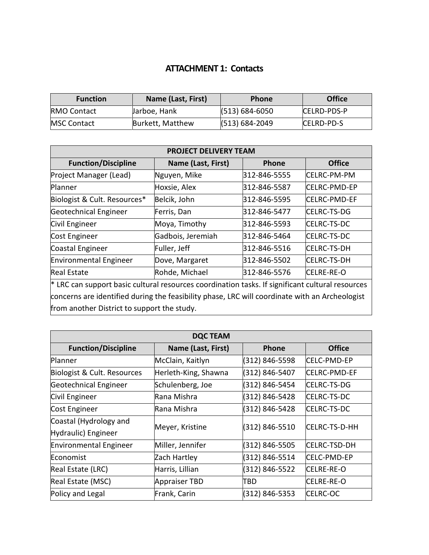## **ATTACHMENT 1: Contacts**

| <b>Function</b>     | Name (Last, First) | <b>Phone</b>       | <b>Office</b>      |
|---------------------|--------------------|--------------------|--------------------|
| <b>RMO Contact</b>  | Jarboe, Hank       | $(513) 684 - 6050$ | <b>CELRD-PDS-P</b> |
| <b>IMSC Contact</b> | Burkett, Matthew   | $(513) 684 - 2049$ | CELRD-PD-S         |

| <b>PROJECT DELIVERY TEAM</b>                                                                     |                    |               |                      |  |  |
|--------------------------------------------------------------------------------------------------|--------------------|---------------|----------------------|--|--|
| <b>Function/Discipline</b>                                                                       | Name (Last, First) | <b>Phone</b>  | <b>Office</b>        |  |  |
| Project Manager (Lead)                                                                           | Nguyen, Mike       | 312-846-5555  | <b>CELRC-PM-PM</b>   |  |  |
| Planner                                                                                          | Hoxsie, Alex       | 312-846-5587  | CELRC-PMD-EP         |  |  |
| Biologist & Cult. Resources*                                                                     | Belcik, John       | l312-846-5595 | <b>ICELRC-PMD-EF</b> |  |  |
| Geotechnical Engineer                                                                            | Ferris, Dan        | 312-846-5477  | <b>CELRC-TS-DG</b>   |  |  |
| Civil Engineer                                                                                   | Moya, Timothy      | 312-846-5593  | CELRC-TS-DC          |  |  |
| Cost Engineer                                                                                    | Gadbois, Jeremiah  | l312-846-5464 | <b>ICELRC-TS-DC</b>  |  |  |
| Coastal Engineer                                                                                 | Fuller, Jeff       | l312-846-5516 | <b>CELRC-TS-DH</b>   |  |  |
| <b>Environmental Engineer</b>                                                                    | Dove, Margaret     | 312-846-5502  | <b>CELRC-TS-DH</b>   |  |  |
| Real Estate                                                                                      | Rohde, Michael     | 312-846-5576  | CELRE-RE-O           |  |  |
| * LRC can support basic cultural resources coordination tasks. If significant cultural resources |                    |               |                      |  |  |
| concerns are identified during the feasibility phase, LRC will coordinate with an Archeologist   |                    |               |                      |  |  |
| from another District to support the study.                                                      |                    |               |                      |  |  |

| <b>DQC TEAM</b>               |                      |                |                     |  |
|-------------------------------|----------------------|----------------|---------------------|--|
| <b>Function/Discipline</b>    | Name (Last, First)   | Phone          | <b>Office</b>       |  |
| Planner                       | McClain, Kaitlyn     | (312) 846-5598 | <b>ICELC-PMD-EP</b> |  |
| Biologist & Cult. Resources   | Herleth-King, Shawna | (312) 846-5407 | <b>CELRC-PMD-EF</b> |  |
| Geotechnical Engineer         | Schulenberg, Joe     | (312) 846-5454 | <b>CELRC-TS-DG</b>  |  |
| Civil Engineer                | Rana Mishra          | (312) 846-5428 | CELRC-TS-DC         |  |
| Cost Engineer                 | Rana Mishra          | (312) 846-5428 | <b>CELRC-TS-DC</b>  |  |
| Coastal (Hydrology and        | Meyer, Kristine      | (312) 846-5510 | CELRC-TS-D-HH       |  |
| Hydraulic) Engineer           |                      |                |                     |  |
| <b>Environmental Engineer</b> | Miller, Jennifer     | (312) 846-5505 | <b>CELRC-TSD-DH</b> |  |
| Economist                     | Zach Hartley         | (312) 846-5514 | CELC-PMD-EP         |  |
| Real Estate (LRC)             | Harris, Lillian      | (312) 846-5522 | CELRE-RE-O          |  |
| Real Estate (MSC)             | <b>Appraiser TBD</b> | TBD            | CELRE-RE-O          |  |
| Policy and Legal              | Frank, Carin         | (312) 846-5353 | CELRC-OC            |  |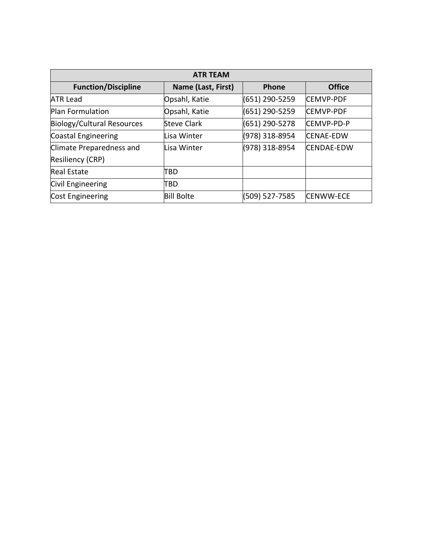| <b>ATR TEAM</b>            |                    |                |                   |  |
|----------------------------|--------------------|----------------|-------------------|--|
| <b>Function/Discipline</b> | Name (Last, First) | Phone          | <b>Office</b>     |  |
| <b>ATR Lead</b>            | Opsahl, Katie      | (651) 290-5259 | <b>CEMVP-PDF</b>  |  |
| Plan Formulation           | Opsahl, Katie      | (651) 290-5259 | <b>CEMVP-PDF</b>  |  |
| Biology/Cultural Resources | <b>Steve Clark</b> | (651) 290-5278 | CEMVP-PD-P        |  |
| Coastal Engineering        | Lisa Winter        | (978) 318-8954 | <b>CENAE-EDW</b>  |  |
| Climate Preparedness and   | Lisa Winter        | (978) 318-8954 | <b>CENDAE-EDW</b> |  |
| Resiliency (CRP)           |                    |                |                   |  |
| <b>Real Estate</b>         | TBD                |                |                   |  |
| Civil Engineering          | TBD                |                |                   |  |
| Cost Engineering           | <b>Bill Bolte</b>  | (509) 527-7585 | <b>CENWW-ECE</b>  |  |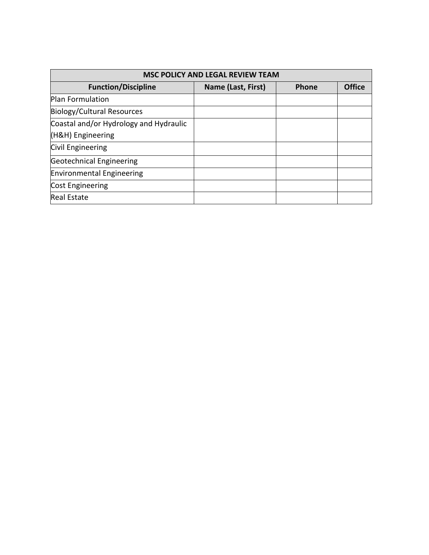| <b>MSC POLICY AND LEGAL REVIEW TEAM</b> |                    |              |               |  |
|-----------------------------------------|--------------------|--------------|---------------|--|
| <b>Function/Discipline</b>              | Name (Last, First) | <b>Phone</b> | <b>Office</b> |  |
| Plan Formulation                        |                    |              |               |  |
| Biology/Cultural Resources              |                    |              |               |  |
| Coastal and/or Hydrology and Hydraulic  |                    |              |               |  |
| (H&H) Engineering                       |                    |              |               |  |
| Civil Engineering                       |                    |              |               |  |
| Geotechnical Engineering                |                    |              |               |  |
| <b>Environmental Engineering</b>        |                    |              |               |  |
| Cost Engineering                        |                    |              |               |  |
| <b>Real Estate</b>                      |                    |              |               |  |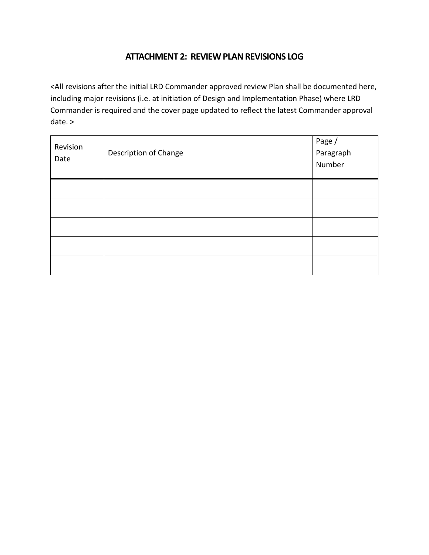# **ATTACHMENT 2: REVIEW PLAN REVISIONS LOG**

<All revisions after the initial LRD Commander approved review Plan shall be documented here, including major revisions (i.e. at initiation of Design and Implementation Phase) where LRD Commander is required and the cover page updated to reflect the latest Commander approval date. >

| Revision<br>Date | Description of Change | Page /<br>Paragraph<br>Number |
|------------------|-----------------------|-------------------------------|
|                  |                       |                               |
|                  |                       |                               |
|                  |                       |                               |
|                  |                       |                               |
|                  |                       |                               |